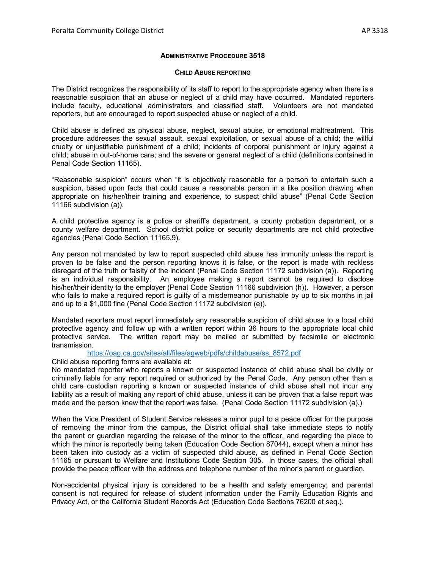## **ADMINISTRATIVE PROCEDURE 3518**

## **CHILD ABUSE REPORTING**

The District recognizes the responsibility of its staff to report to the appropriate agency when there is a reasonable suspicion that an abuse or neglect of a child may have occurred. Mandated reporters include faculty, educational administrators and classified staff. Volunteers are not mandated reporters, but are encouraged to report suspected abuse or neglect of a child.

Child abuse is defined as physical abuse, neglect, sexual abuse, or emotional maltreatment. This procedure addresses the sexual assault, sexual exploitation, or sexual abuse of a child; the willful cruelty or unjustifiable punishment of a child; incidents of corporal punishment or injury against a child; abuse in out-of-home care; and the severe or general neglect of a child (definitions contained in Penal Code Section 11165).

"Reasonable suspicion" occurs when "it is objectively reasonable for a person to entertain such a suspicion, based upon facts that could cause a reasonable person in a like position drawing when appropriate on his/her/their training and experience, to suspect child abuse" (Penal Code Section 11166 subdivision (a)).

A child protective agency is a police or sheriff's department, a county probation department, or a county welfare department. School district police or security departments are not child protective agencies (Penal Code Section 11165.9).

Any person not mandated by law to report suspected child abuse has immunity unless the report is proven to be false and the person reporting knows it is false, or the report is made with reckless disregard of the truth or falsity of the incident (Penal Code Section 11172 subdivision (a)). Reporting is an individual responsibility. An employee making a report cannot be required to disclose his/her/their identity to the employer (Penal Code Section 11166 subdivision (h)). However, a person who fails to make a required report is guilty of a misdemeanor punishable by up to six months in jail and up to a \$1,000 fine (Penal Code Section 11172 subdivision (e)).

Mandated reporters must report immediately any reasonable suspicion of child abuse to a local child protective agency and follow up with a written report within 36 hours to the appropriate local child protective service. The written report may be mailed or submitted by facsimile or electronic transmission.

[https://oag.ca.gov/sites/all/files/agweb/pdfs/childabuse/ss\\_8572.pdf](https://oag.ca.gov/sites/all/files/agweb/pdfs/childabuse/ss_8572.pdf)

Child abuse reporting forms are available at:

No mandated reporter who reports a known or suspected instance of child abuse shall be civilly or criminally liable for any report required or authorized by the Penal Code. Any person other than a child care custodian reporting a known or suspected instance of child abuse shall not incur any liability as a result of making any report of child abuse, unless it can be proven that a false report was made and the person knew that the report was false. (Penal Code Section 11172 subdivision (a).)

When the Vice President of Student Service releases a minor pupil to a peace officer for the purpose of removing the minor from the campus, the District official shall take immediate steps to notify the parent or guardian regarding the release of the minor to the officer, and regarding the place to which the minor is reportedly being taken (Education Code Section 87044), except when a minor has been taken into custody as a victim of suspected child abuse, as defined in Penal Code Section 11165 or pursuant to Welfare and Institutions Code Section 305. In those cases, the official shall provide the peace officer with the address and telephone number of the minor's parent or guardian.

Non-accidental physical injury is considered to be a health and safety emergency; and parental consent is not required for release of student information under the Family Education Rights and Privacy Act, or the California Student Records Act (Education Code Sections 76200 et seq.).